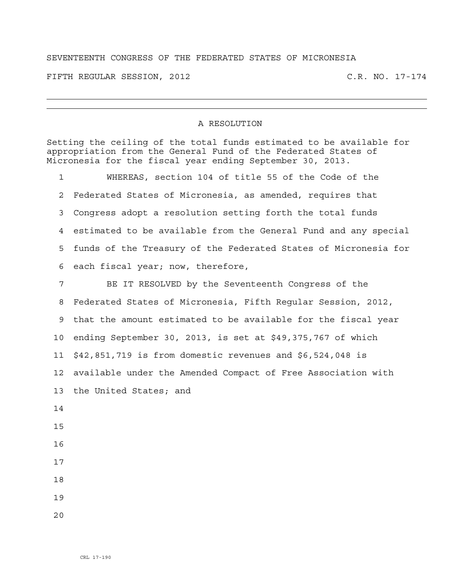## SEVENTEENTH CONGRESS OF THE FEDERATED STATES OF MICRONESIA

FIFTH REGULAR SESSION, 2012 C.R. NO. 17-174

## A RESOLUTION

Setting the ceiling of the total funds estimated to be available for appropriation from the General Fund of the Federated States of Micronesia for the fiscal year ending September 30, 2013.

1 WHEREAS, section 104 of title 55 of the Code of the 2 Federated States of Micronesia, as amended, requires that 3 Congress adopt a resolution setting forth the total funds 4 estimated to be available from the General Fund and any special 5 funds of the Treasury of the Federated States of Micronesia for 6 each fiscal year; now, therefore,

7 BE IT RESOLVED by the Seventeenth Congress of the 8 Federated States of Micronesia, Fifth Regular Session, 2012, 9 that the amount estimated to be available for the fiscal year 10 ending September 30, 2013, is set at \$49,375,767 of which 11 \$42,851,719 is from domestic revenues and \$6,524,048 is 12 available under the Amended Compact of Free Association with 13 the United States; and 14 15 16 17

- 18
- 19
- $2.0$